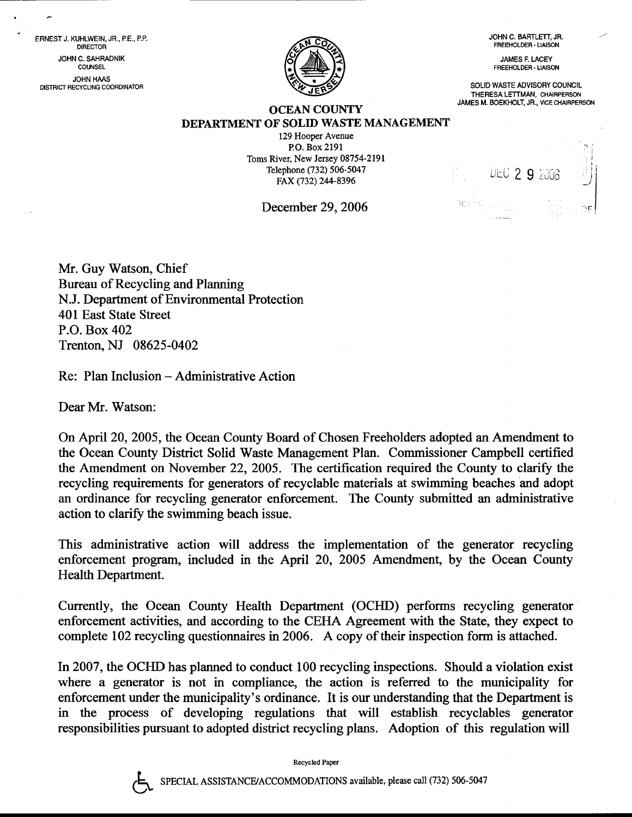JOHN C. BARTLETT, JR. FFEEHOLDER. LIAISON

JAMES F. LACEY FREEHOLDER. LIAISON

SOLID WASTE ADVISORY COUNCIL THERESA LETTMAN, CHAIRPERSON JAMES M. BOEKHOLT, JR., VICE CHAIRPERSON



# **OCEAN COUNTY** DEPARTMENT OF SOLID WASTE MANAGEMENT

129 Hooper Avenue P.O. Box 2191 Toms River, New Jersey 08754-2191 Telephone (732) 506-5047 FAX (732) 244-8396

December 29.2006

|      |                                                  |  | UEC 2 9 2006 |  |
|------|--------------------------------------------------|--|--------------|--|
| o ta | $\mathbf{r}$<br>110.14<br><b>Charles Comment</b> |  |              |  |

Mr. Guy Watson, Chief Bureau of Recycling and Planning N.J. Department of Environmental Protection 401 East State Street P.O. Box 402 Trenton, NJ 08625-0402

Re: Plan Inclusion - Administrative Action

Dear Mr. Watson:

ERNEST J. KUHLWEIN, JR., P.E., P.P. DIRECTOR JOHN C. SAHRADNIK COUNSEL JOHN HAAS DISTRICT RECYCLING COORDINATOR

> On April 20,2005, the Ocean County Board of Chosen Freeholders adopted an Amendment to the Ocean County District Solid Waste Management Plan. Commissioner Campbell certified the Amendment on November 22, 2005. The certification required the County to clarify the recycling requirements for generators of recyclable materials at swimming beaches and adopt an ordinance for recycling generator enforcement. The County submitted an administrative action to clarify the swimming beach issue.

> This administrative action will address the implementation of the generator recycling enforcement program, included in the April 20, 2005 Amendment, by the Ocean County Health Department.

> Currently, the Ocean County Health Department (OCHD) performs recycling generator enforcement activities, and according to the CEFIA Agreement with the State, they expect to complete 102 recycling questionnaires in 2006. A copy of their inspection form is affached.

> In2007, the OCHD has planned to conduct 100 recycling inspections. Should a violation exist where a generator is not in compliance, the action is referred to the municipality for enforcement under the municipality's ordinance. It is our understanding that the Department is in the process of developing regulations that will establish recyclables generator responsibilities pursuant to adopted district recycling plans. Adoption of this regulation will



Recycled Paper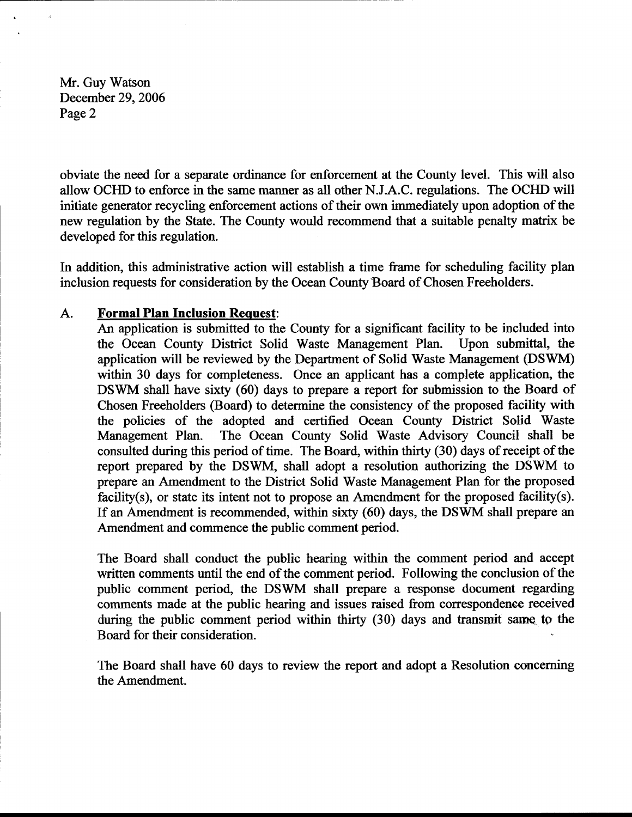Mr. Guy Watson December 29,2006 Page 2

obviate the need for a separate ordinance for enforcement at the County level. This will also allow OCIID to enforce in the same manner as all other N.J.A.C. regulations. The OCHD will initiate generator recycling enforcement actions of their own immediately upon adoption of the new regulation by the State. The County would recommend that a suitable penalty matrix be developed for this regulation.

In addition, this administrative action will establish a time frame for scheduling facility plan inclusion requests for consideration by the Ocean County Board of Chosen Freeholders.

## A. Formal Plan Inclusion Request:

An application is submitted to the County for a significant facility to be included into the Ocean County District Solid Waste Management Plan. Upon submittal, the application will be reviewed by the Department of Solid Waste Management (DSWM) within 30 days for completeness. Once an applicant has a complete application, the DSWM shall have sixty (60) days to prepare a report for submission to the Board of Chosen Freeholders (Board) to determine the consistency of the proposed facility with the policies of the adopted and certified Ocean County District Solid Waste Management Plan. The Ocean County Solid Waste Advisory Council shall be consulted during this period of time. The Board, within thirty (30) days of receipt of the report prepared by the DSWM, shall adopt a resolution authorizing the DSWM to prepare an Amendment to the District Solid Waste Management Plan for the proposed facility(s), or state its intent not to propose an Amendment for the proposed facility(s). If an Amendment is recommended, within sixty (60) days, the DSWM shall prepare an Amendment and commence the public comment period.

The Board shall conduct the public hearing within the comment period and accept written comments until the end of the comment period. Following the conclusion of the public comment period, the DSWM shall prepare a response document regarding comments made at the public hearing and issues raised from correspondenee received during the public comment period within thirty  $(30)$  days and transmit same to the Board for their consideration.

The Board shall have 60 days to review the report and adopt a Resolution concerning the Amendment.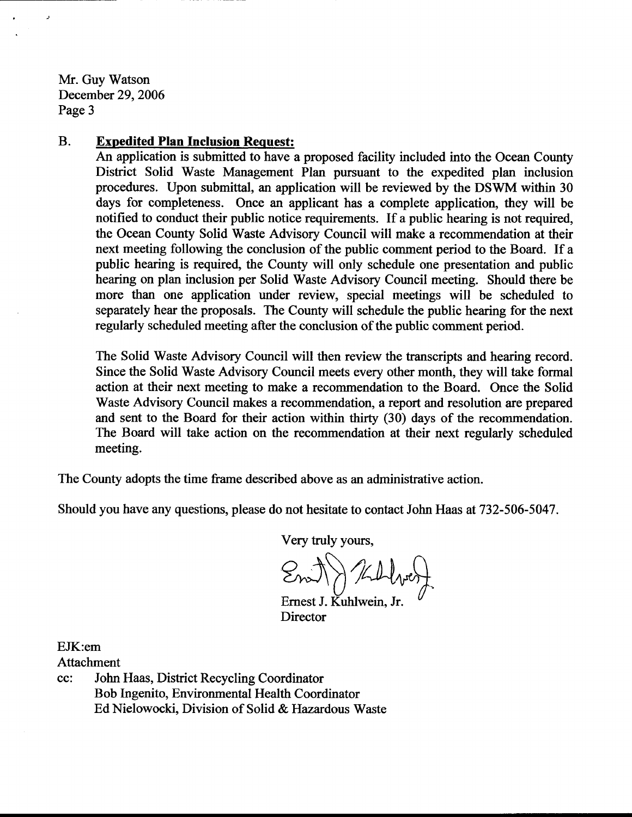Mr. Guy Watson December 29,2006 Page 3

 $\lambda$ 

# B. Exoedited Plan Inclusion Request:

An application is submiffed to have a proposed facility included into the Ocean County District Solid Waste Management Plan pursuant to the expedited plan inclusion procedures. Upon submittal, an application will be reviewed by the DSWM within 30 days fot completeness. Once an applicant has a complete application, they will be notified to conduct their public notice requirements. If a public hearing is not required, the Ocean County Solid Waste Advisory Council will make a recommendation at their next meeting following the conclusion of the public comment period to the Board. If <sup>a</sup> public hearing is required, the County will only schedule one presentation and public hearing on plan inclusion per Solid Waste Advisory Council meeting. Should there be more than one application under review, special meetings will be scheduled to separately hear the proposals. The County will schedule the public hearing for the next regularly scheduled meeting after the conclusion of the public comment period.

The Solid Waste Advisory Council will then review the transcripts and hearing record. Since the Solid Waste Advisory Council meets every other month, they will take formal action at their next meeting to make a recornmendation to the Board. Once the Solid Waste Advisory Council makes a recommendation, a report and resolution are prepared and sent to the Board for their action within thirty (30) days of the recommendation. The Board will take action on the recommendation at their next regularly scheduled meeting.

The County adopts the time frame described above as an administrative action.

Should you have any questions, please do not hesitate to contact John Haas at 732-506-5047.

Very truly yours,

 $\bigcap_{n=1}^{\infty} A_{n} \cap A_{n} \bigcap A_{n}$  $Q \pi \setminus \mathcal{N} \cup \mathcal{N}$  $Z$ m $\cup$   $\wedge$   $\vee$  I  $\vee$  I that  $\bigcup_{i=1}^n$  if  $\bigcup_{i=1}^n$  if  $\bigcup_{i=1}^n$ 

Ernest J. Kuhlwein, Jr. Director

EJK:em

Attachment

cc: John Haas, District Recycling Coordinator Bob Ingenito, Environmental Health Coordinator Ed Nielowocki. Division of Solid & Hazardous Waste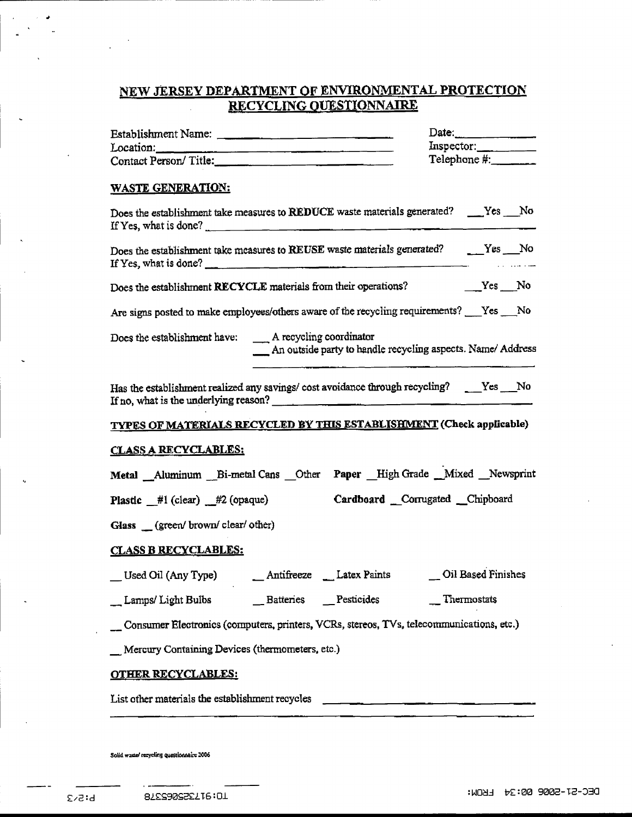# NEW JERSEY DEPARTMENT OF ENVIRONMENTAL PROTECTION RECYCLING QUESTIONNAIRE

| Establishment Name:                                                                                                                                                                                                                                                                                                                                                                                                                                                                           |                                                                                                                     |  | Date:        |  |  |
|-----------------------------------------------------------------------------------------------------------------------------------------------------------------------------------------------------------------------------------------------------------------------------------------------------------------------------------------------------------------------------------------------------------------------------------------------------------------------------------------------|---------------------------------------------------------------------------------------------------------------------|--|--------------|--|--|
| Location:                                                                                                                                                                                                                                                                                                                                                                                                                                                                                     |                                                                                                                     |  | Inspector:   |  |  |
| Contact Person/Title:                                                                                                                                                                                                                                                                                                                                                                                                                                                                         |                                                                                                                     |  | Telephone #: |  |  |
| <b>WASTE GENERATION:</b>                                                                                                                                                                                                                                                                                                                                                                                                                                                                      |                                                                                                                     |  |              |  |  |
| Does the establishment take measures to REDUCE waste materials generated? ____Yes ___No<br>If Yes, what is done?                                                                                                                                                                                                                                                                                                                                                                              |                                                                                                                     |  |              |  |  |
| Does the establishment take measures to REUSE waste materials generated? _____Yes ___No<br>If Yes, what is done? $\frac{1}{\sqrt{1-\frac{1}{2}}\sqrt{1-\frac{1}{2}}\sqrt{1-\frac{1}{2}}\sqrt{1-\frac{1}{2}}\sqrt{1-\frac{1}{2}}\sqrt{1-\frac{1}{2}}\sqrt{1-\frac{1}{2}}\sqrt{1-\frac{1}{2}}\sqrt{1-\frac{1}{2}}\sqrt{1-\frac{1}{2}}\sqrt{1-\frac{1}{2}}\sqrt{1-\frac{1}{2}}\sqrt{1-\frac{1}{2}}\sqrt{1-\frac{1}{2}}\sqrt{1-\frac{1}{2}}\sqrt{1-\frac{1}{2}}\sqrt{1-\frac{1}{2}}\sqrt{1-\frac$ |                                                                                                                     |  |              |  |  |
|                                                                                                                                                                                                                                                                                                                                                                                                                                                                                               |                                                                                                                     |  |              |  |  |
| Are signs posted to make employees/others aware of the recycling requirements? __Yes __No                                                                                                                                                                                                                                                                                                                                                                                                     |                                                                                                                     |  |              |  |  |
|                                                                                                                                                                                                                                                                                                                                                                                                                                                                                               | Does the establishment have: A recycling coordinator<br>An outside party to handle recycling aspects. Name/ Address |  |              |  |  |
| Has the establishment realized any savings/ cost avoidance through recycling? ____Yes ___No<br>If no, what is the underlying reason?                                                                                                                                                                                                                                                                                                                                                          |                                                                                                                     |  |              |  |  |
| TYPES OF MATERIALS RECYCLED BY THIS ESTABLISHMENT (Check applicable)                                                                                                                                                                                                                                                                                                                                                                                                                          |                                                                                                                     |  |              |  |  |
| <u>CLASS A RECYCLABLES:</u>                                                                                                                                                                                                                                                                                                                                                                                                                                                                   |                                                                                                                     |  |              |  |  |
| Metal _Aluminum _Bi-metal Cans _Other    Paper _High Grade _Mixed _Newsprint                                                                                                                                                                                                                                                                                                                                                                                                                  |                                                                                                                     |  |              |  |  |
| Plastic #1 (clear) #2 (opaque) Cardboard Corrugated Chipboard                                                                                                                                                                                                                                                                                                                                                                                                                                 |                                                                                                                     |  |              |  |  |
| Glass (green/brown/clear/other)                                                                                                                                                                                                                                                                                                                                                                                                                                                               |                                                                                                                     |  |              |  |  |
| <b>CLASS B RECYCLABLES:</b>                                                                                                                                                                                                                                                                                                                                                                                                                                                                   |                                                                                                                     |  |              |  |  |
|                                                                                                                                                                                                                                                                                                                                                                                                                                                                                               |                                                                                                                     |  |              |  |  |
| __ Lamps/ Light Bulbs _______ Batteries ____ Pesticides                                                                                                                                                                                                                                                                                                                                                                                                                                       |                                                                                                                     |  | Thermostats  |  |  |
| Consumer Electronics (computers, printers, VCRs, stereos, TVs, telecommunications, etc.)                                                                                                                                                                                                                                                                                                                                                                                                      |                                                                                                                     |  |              |  |  |
| Mercury Containing Devices (thermometers, etc.)                                                                                                                                                                                                                                                                                                                                                                                                                                               |                                                                                                                     |  |              |  |  |
| <b>OTHER RECYCLABLES:</b>                                                                                                                                                                                                                                                                                                                                                                                                                                                                     |                                                                                                                     |  |              |  |  |
| List other materials the establishment recycles _________________________________                                                                                                                                                                                                                                                                                                                                                                                                             |                                                                                                                     |  |              |  |  |
|                                                                                                                                                                                                                                                                                                                                                                                                                                                                                               |                                                                                                                     |  |              |  |  |

Solid waster recycling questionnaire 2006

. .

 $\lambda$ 

 $\bullet$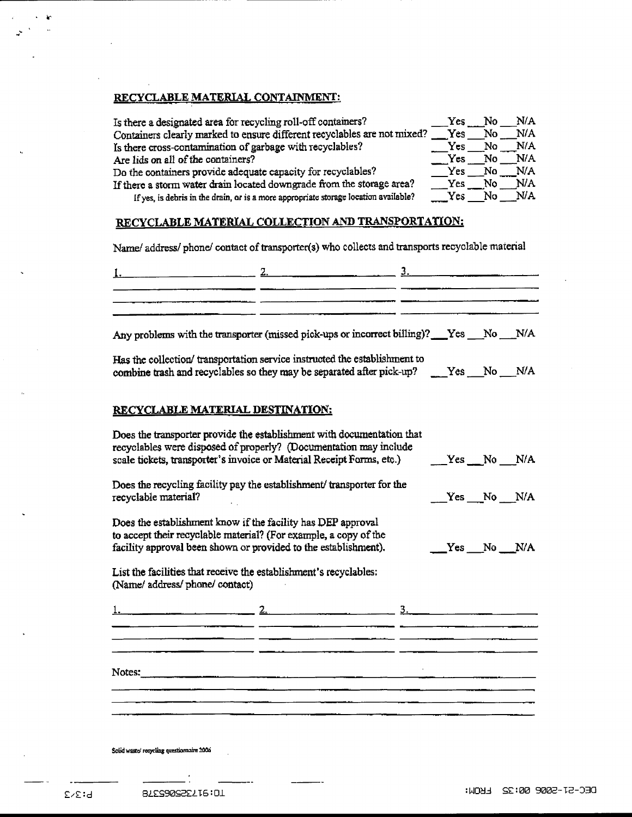## RECYCLABLE MATERIAL CONTAINMENT:

| Is there a designated area for recycling roll-off containers?                        | Yes  | No. | N/A |
|--------------------------------------------------------------------------------------|------|-----|-----|
| Containers clearly marked to ensure different recyclables are not mixed?             | Yes  | No  | N/A |
| Is there cross-contamination of garbage with recyclables?                            | Yes. | No. | N/A |
| Are lids on all of the containers?                                                   | Yes  | No  | N/A |
| Do the containers provide adequate capacity for recyclables?                         | Yes  | No. | N/A |
| If there a storm water drain located downgrade from the storage area?                | Yes. | No  | N/A |
| If yes, is debris in the drain, or is a more appropriate storage location available? | Yes. | No  | N/A |

### RECYCLABLE MATERIAL COLLECTION AND TRANSPORTATION:

Name/ address/ phone/ contact of transporter(s) who collects and transports recyclable material

| 1. $2.$ $2.$ $3.$ $3.$ |  |
|------------------------|--|
|                        |  |
|                        |  |
|                        |  |
|                        |  |

Any problems with the transporter (missed pick-ups or incorrect billing)? Yes \_\_No \_\_N/A

Has the collection/ transportation service instructed the establishment to combine trash and recyclables so they may be separated after pick-up? \_\_\_\_Yes \_\_\_No \_\_\_N/A

#### RECYCLABLE MATERIAL DESTINATION:

| Does the transporter provide the establishment with documentation that<br>recyclables were disposed of properly? (Documentation may include<br>scale tickets, transporter's invoice or Material Receipt Forms, etc.) |  | $Yes$ No N/A |  |
|----------------------------------------------------------------------------------------------------------------------------------------------------------------------------------------------------------------------|--|--------------|--|
| Does the recycling facility pay the establishment/transporter for the<br>recyclable material?                                                                                                                        |  | Yes No N/A   |  |
| Does the establishment know if the facility has DEP approval<br>to accept their recyclable material? (For example, a copy of the<br>facility approval been shown or provided to the establishment).                  |  | $Yes$ No N/A |  |
| List the facilities that receive the establishment's recyclables:<br>(Name/ address/ phone/ contact)                                                                                                                 |  |              |  |
|                                                                                                                                                                                                                      |  |              |  |
|                                                                                                                                                                                                                      |  |              |  |
| Notes:                                                                                                                                                                                                               |  |              |  |
|                                                                                                                                                                                                                      |  |              |  |

Solid waste/recycling questionnaire 2006

÷,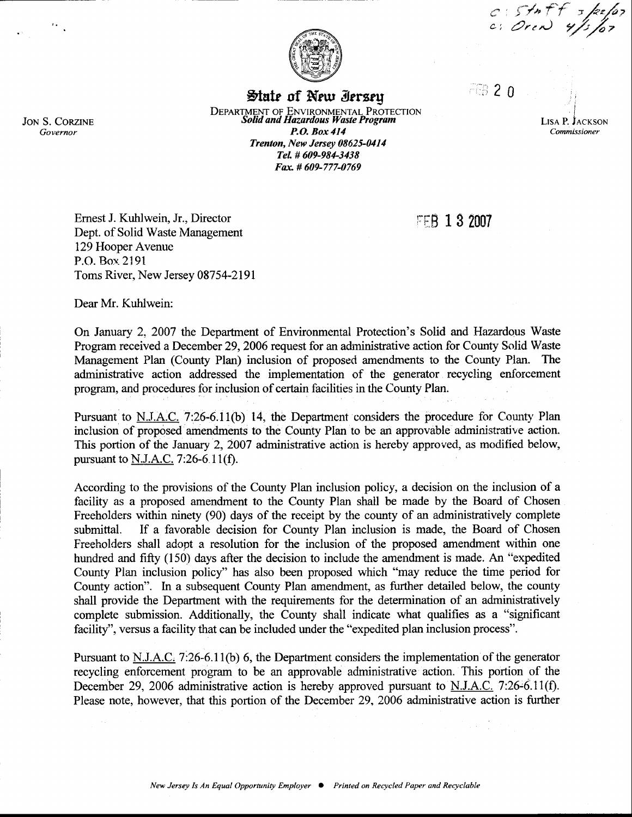$c: Sf \rightarrow f + s$ 



State of New Iersey

DEPARTMENT OF ENVIRONMENTAL PROTECTION<br>Solid and Hazardous Waste Program P.O. Box4I4 Trenton, New Jersey 08625-0414 Tel. # 609-984-3438 Fax # 609-777-0769

f

 $EB20$ 

**FFB 1 3 2007** 

LISA P. JACKSON Commissioner

Emest J. Kuhlwein, Jr., Director Dept. of Solid Waste Management 129 Hooper Avenuc P.O. Box. 2191 Toms River, New Jersey 08754-2191

Dear Mr. Kuhlwein:

On January 2. 2007 the Depatrnent of Environmental Protection's Solid and Hazardqus Waste Program received a December29,2006 request for an adrninistrative action for County Solid Waste Management Plan (County Plan) inclusion of proposed amendments to the County Plan. The administrative action addressed the implementation of the generator recycling enforcement program, and procedures for inclusion of certain facilities in the County Plan,

Pursuant to N.J.A.C. 7:26-6.11(b) 14, the Department considers the procedure for County Plan inclusion of proposed amendments to the County Plan to be an appravable administrative action. This portion of the January 2,2007 administrative action is hereby approved, as modified below, pursuant to  $N.I.A.C.$  7:26-6.11(f).

According to the provisions of the County Plan inclusion policy, a decision on the inclusion of a facility as a proposed amendment to the County Plan shail be made by the Board of Chosen Freeholders within ninety (90) days of the receipt by the county of an administratively complete submittal. If a favorable decision for County Plan inclusion is made, the Board of Chosen Freeholders shall adopt a resolution for the inclusion of the proposed amendment within one hundred and fifty (150) days after the decision to include the amendment is made. An "expedited County Plan inclusion policy" has also been proposed which "may reduce the time period for County action". In a subsequent County Plan amendment, as further detailed below, the county shall provide the Departrnent with the requirements for the determination of an administratively complete submission. Additionally, the County shall indicate what qualifies as a "significant facility", versus a facility that can be included under the "expedited plan inclusion process".

Pursuant to N.J.A.C.  $7:26-6.11(b)$  6, the Department considers the implementation of the generator recycling enforcement program to be an approvable administrative action. This portion of the December 29, 2006 administrative action is hereby approved pursuant to N.J.A.C. 7:26-6.11(f). Please note, however, that this portion of the December 29, 2006 administrative action is further

 $\left\langle \cdot \right\rangle_{\mathcal{A}}$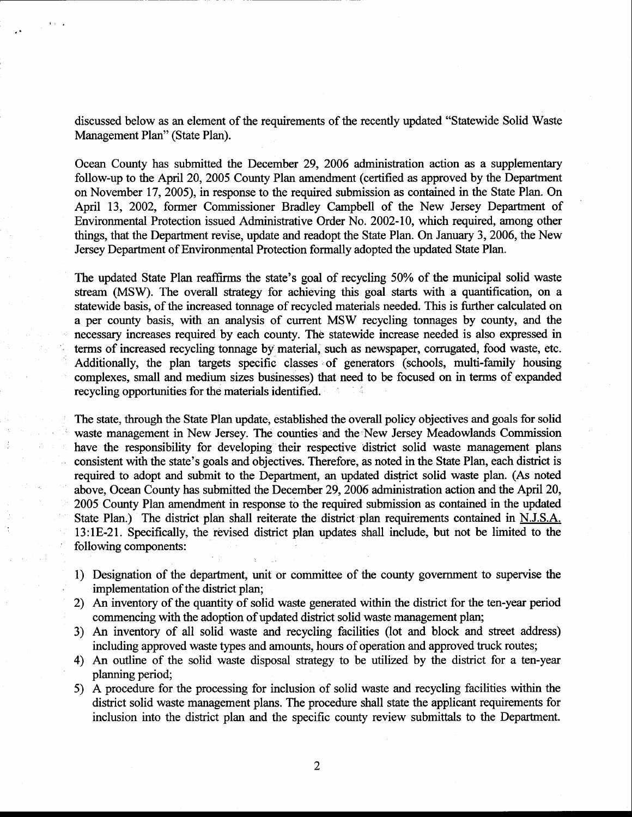discussed below as an element of the requirements of the recently updated "Statewide Solid Waste Management Plan" (State Plan).

Ocean County has submitted the December 29,2006 administration action as a supplementary follow-up to the April 20, 2005 County Plan amendment (certified as approved by the Departrnent on November 17,2005), in response to the required submission as contained in the State Plan. On April 13, 2002, former Commissioner Bradley Campbell of the New Jersey Departrnent of Environmental Protection issued Administrative Order No, 2002-10, which required, among other things, that the Deparftnent revise, update and readopt the State Plan. On January 3,2006, the New Jersey Department of Environmental Protection formally adopted the updated State Plan.

The updated State Plan reaffirms the state's goal of recycling 50% of the municipal solid waste stream (MSW). The overall strategy for achieving this goal starts with a quantification, on a statewide basis, of the increased tonnage of recycled materials needed. This is further calculated on a per county basis, with an analysis of current MSW recycling tonnages by county, and the necessary increases required by each county. The statewide increase needed is also expressed in terms of increased recycling tonnage by material, such as newspaper, corrugated, food waste, etc. Additionally, the plan targets specific classes of generators (schools, multi-family housing complexes, small and medium sizes businesses) that need to be focused on in terms of expanded recycling opportunities for the materials identified.

The state, through the State Plan update, established the overall policy objectives and goals for solid waste management in New Jersey. The counties and the New Jersey Meadowlands Commission have the responsibility for developing their respective district solid waste management plans consistent with the state's goals and objectives. Therefore, as noted in the State Plan, each district is required to adopt and submit to the Department, an updated district solid waste plan. (As noted above, Ocean County has submitted the December 29,2006 administration action and the April 20, 2005 County Plan amendment in response to the required submission as contained in the updated State Plan.) The district plan shall reiterate the district plan requirements contained in N.J.S.A. 13:1E-21. Specifically, the revised district plan updates shall include, but not be limited to the following components:

- 1) Designation of the departrnent, unit or committee of the county govemment to supervise the implementation of the district plan;
- 2) An inventory of the quantity of solid waste generated within the district for the ten-year period commencing with the adoption of updated district solid waste management plan;
- 3) An inventory of all solid waste and recycling facilities (lot and block and street address) including approved waste types and amounts, hours of operation and approved truck routes;
- 4) An outline of the solid waste disposal strategy to be utilized by the district for a ten-year planning period;
- 5) A procedure for the processing for inclusion of solid waste and recycling facilities within the district solid waste management plans. The procedure shall state the applicant requirements for inclusion into the district plan and the specific county review submittals to the Department.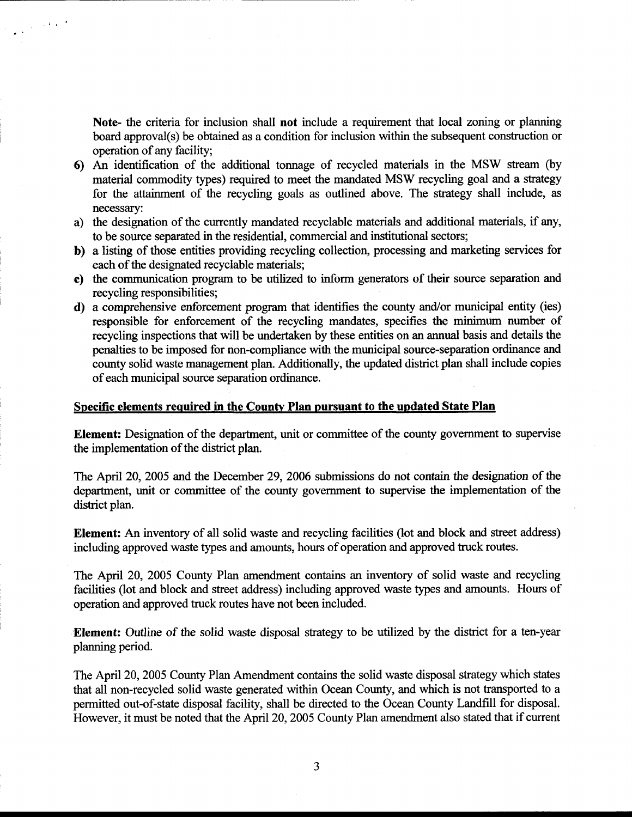Note- the criteria for inclusion shall not include a requirement that local zoning or planning board approval(s) be obtained as a condition for inclusion within the subsequent construction or operation of any facility;

 $\frac{1}{\sqrt{2\pi}\sum_{i=1}^{n} \frac{1}{\sqrt{2\pi}}\left(\frac{1}{\sqrt{2\pi}}\right)^2} \leq \frac{1}{\sqrt{2\pi}}\left(\frac{1}{\sqrt{2\pi}}\right)^2 \leq \frac{1}{\sqrt{2\pi}}\left(\frac{1}{\sqrt{2\pi}}\right)^2$ 

- 6) An identification of the additional tonnage of recycled materials in the MSW stream (by material commodity types) required to meet the mandated MSW recycling goal and a strategy for the attainment of the recycling goals as outlined above. The strategy shall include, as necessary:
- a) the designation of the currently mandated recyclable materials and additional materials, if any, to be source separated in the residential, commercial and institutional sectors;
- b) a listing of those entities providing recycling collection, processing and marketing services for each of the designated recyciable materiais;
- c) the communication program to be utilized to inform generators of their source separation and recycling responsibilities;
- d) a comprehensive enforcement program that identifies the county and/or municipal entity (ies) responsible for enforcement of the recycling mandates, specifies the minimum number of recycling inspections that will be undertaken by these entities on an annual basis and details the penalties to be imposed for non-compliance with the municipal source-separation ordinance and county solid waste management plan. Additionally, the updated district plan shall include copies of each municipal source separation ordinance.

#### Specific elements required in the Countv Plan pursuant to the updated State Plan

Element: Designation of the deparfinent, unit or committee of the county government to supervise the implementation of the district plan.

The April 20,2005 and the December 29,2006 submissions do not contain the designation of the department, unit or committee of the county government to supervise the implementation of the district plan.

Element: An inventory of all solid waste and recycling facilities (lot and block and street address) including approved waste types and amounts, hours of operation and approved truck routes.

The April 20,2005 County Plan amendment contains an inventory of solid waste and recycling facilities (lot and block and street address) including approved waste types and amounts. Hours of operation and approved truck routes have not been included.

Element: Outline of the solid waste disposal strategy to be utilized by the district for a ten-year planning period.

The April 20,2005 County Plan Amendment contains the solid waste disposal strategy which states that all non-recycled solid waste generated within Ocean County, and which is not transported to a permitted out-of-state disposal facility, shall be directed to the Ocean County Landfill for disposal. However, it must be noted that the April 20, 2005 County Plan amendment also stated that if current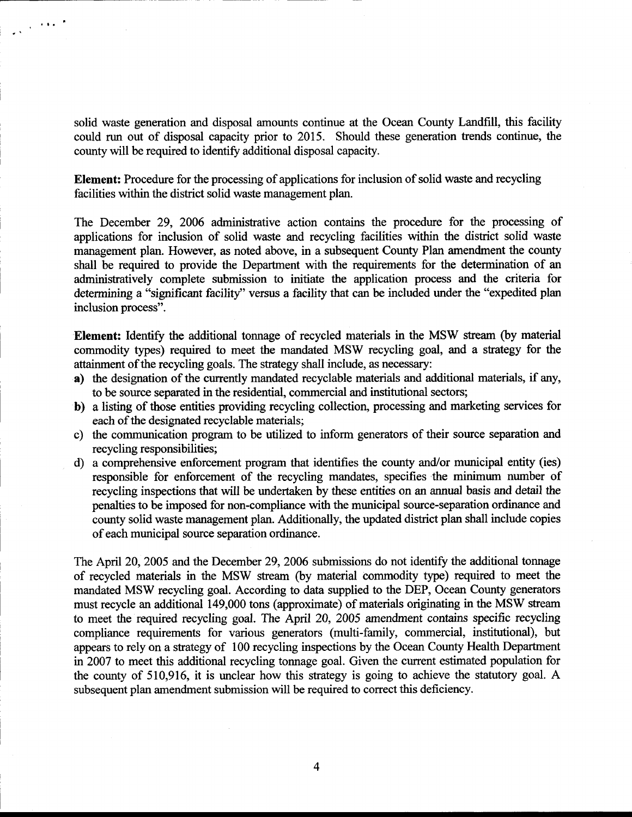solid waste generation and disposal amounts continue at the Ocean County Landfill, this facility could run out of disposal capacity prior to 2015. Should these generation trends continue, the county will be required to identify additional disposal capacity.

 $\frac{1}{2\sqrt{2}}$  , where  $\frac{1}{2}$ 

Element: Procedure for the processing of applications for inclusion of solid waste and recycling facilities within the district solid waste management plan.

The December 29, 2006 administrative action contains the procedure for the processing of applications for inclusion of solid waste and recycling facilities within the district solid waste management plan. However, as noted above, in a subsequent County Plan amendment the county shall be required to provide the Departrnent with the requirements for the determination of an administratively complete submission to initiate the application process and the criteria for determining a "significant facility" versus a facility that can be included under the "expedited plan inclusion process".

Element: Identify the additional tonnage of recycled materials in the MSW stream (by material commodity types) required to meet the mandated MSW recycling goal, and a strategy for the attainment of the recycling goals. The strategy shall include, as necessary:

- a) the designation of the currently mandated recyclable materials and additional materials, if any, to be source separated in the residential, commercial and institutional sectors;
- b) a listing of those entities providing recycling collection, processing and marketing services for each of the designated recyclable materials;
- c) the communication program to be utilized to inform generators of their source separation and recycling responsibilities;
- d) a comprehensive enforcement program that identifies the county and/or municipal entity (ies) responsible for enforcement of the recycling mandates, specifies the minimum number of recycling inspections that will be undertaken by these entities on an annual basis and detail the penalties to be imposed for non-compliance with the municipal source-separation ordinance and county solid waste management plan. Additionally, the updated district plan shall include copies of each municipal source separation ordinance.

The April 20, 2005 and the December 29, 2006 submissions do not identify the additional tonnage of recycled materials in the MSW stream (by material commodity type) required to meet the mandated MSW recycling goal. According to data supplied to the DEP, Ocean County generators must recycle an additional 149,000 tons (approximate) of materials originating in the MSW stream to meet the required recycling goal. The April 20, 2005 amendment contains specific recycling compliance requirements for various generators (multi-family, commercial, institutional), but appears to rely on a strategy of 100 recycling inspections by the Ocean County Health Department in 2007 to meet this additional recycling tonnage goal. Given the curent estimated population for the county of 510,916, it is unclear how this strategy is going to achieve the statutory goal. A subsequent plan amendment submission will be required to correct this deficiency.